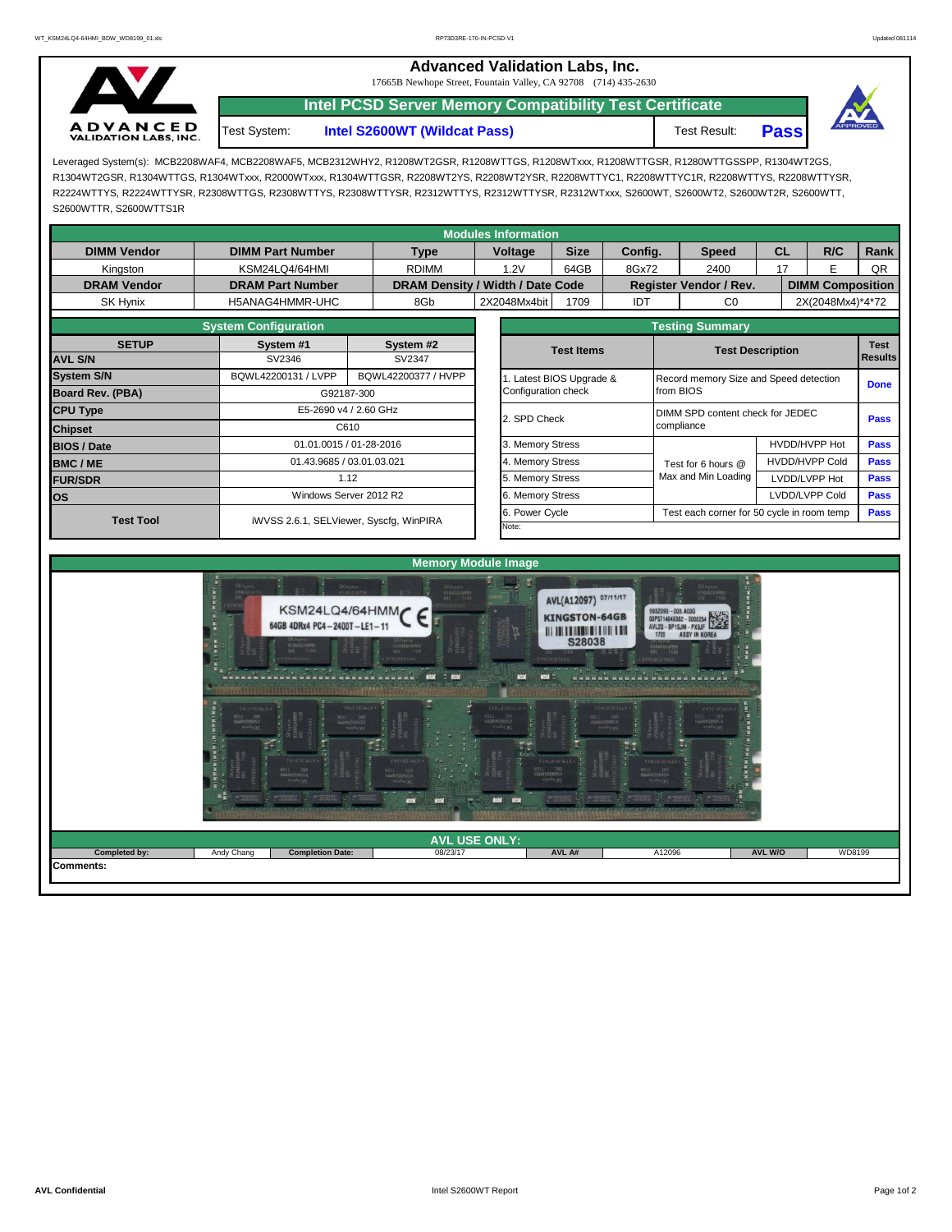|                                                 | <b>Advanced Validation Labs, Inc.</b><br>17665B Newhope Street, Fountain Valley, CA 92708 (714) 435-2630 |                              |              |             |                 |  |  |  |
|-------------------------------------------------|----------------------------------------------------------------------------------------------------------|------------------------------|--------------|-------------|-----------------|--|--|--|
|                                                 | <b>Intel PCSD Server Memory Compatibility Test Certificate</b>                                           |                              |              |             |                 |  |  |  |
| <b>ADVANCED</b><br><b>VALIDATION LABS, INC.</b> | Test System:                                                                                             | Intel S2600WT (Wildcat Pass) | Test Result: | <b>Pass</b> | <b>APPROVED</b> |  |  |  |

Leveraged System(s): MCB2208WAF4, MCB2208WAF5, MCB2312WHY2, R1208WT2GSR, R1208WTTGS, R1208WTxxx, R1208WTTGSR, R1280WTTGSSPP, R1304WT2GS, R1304WT2GSR, R1304WTTGS, R1304WTxxx, R2000WTxxx, R1304WTTGSR, R2208WT2YS, R2208WT2YSR, R2208WTTYC1, R2208WTTYC1R, R2208WTTYS, R2208WTTYSR, R2224WTTYS, R2224WTTYSR, R2308WTTGS, R2308WTTYS, R2308WTTYSR, R2312WTTYS, R2312WTTYSR, R2312WTxxx, S2600WT, S2600WT2, S2600WT2R, S2600WTT, S2600WTTR, S2600WTTS1R

|                    |                             |                                         | <b>Modules Information</b> |                                                                                                                                                                                                                                                                                                                                                                                                                                      |         |                                                           |                       |                |             |  |  |
|--------------------|-----------------------------|-----------------------------------------|----------------------------|--------------------------------------------------------------------------------------------------------------------------------------------------------------------------------------------------------------------------------------------------------------------------------------------------------------------------------------------------------------------------------------------------------------------------------------|---------|-----------------------------------------------------------|-----------------------|----------------|-------------|--|--|
| <b>DIMM Vendor</b> | <b>DIMM Part Number</b>     | <b>Type</b>                             | Voltage                    | <b>Size</b>                                                                                                                                                                                                                                                                                                                                                                                                                          | Config. | <b>Speed</b>                                              | <b>CL</b>             | R/C            | Rank        |  |  |
| Kingston           | KSM24LQ4/64HMI              | <b>RDIMM</b>                            | 1.2V                       | 64GB                                                                                                                                                                                                                                                                                                                                                                                                                                 | 8Gx72   | 2400                                                      | E<br>17               |                | QR          |  |  |
| <b>DRAM Vendor</b> | <b>DRAM Part Number</b>     |                                         |                            |                                                                                                                                                                                                                                                                                                                                                                                                                                      |         |                                                           |                       |                |             |  |  |
| SK Hynix           | H5ANAG4HMMR-UHC             | 8Gb                                     | 2X2048Mx4bit               | DRAM Density / Width / Date Code<br>Register Vendor / Rev.<br><b>DIMM Composition</b><br>IDT<br>2X(2048Mx4)*4*72<br>1709<br>CO<br><b>Testing Summary</b><br><b>Test</b><br><b>Test Items</b><br><b>Test Description</b><br><b>Results</b><br>. Latest BIOS Upgrade &<br>Record memory Size and Speed detection<br><b>Done</b><br>Configuration check<br>from BIOS<br>DIMM SPD content check for JEDEC<br>2. SPD Check<br><b>Pass</b> |         |                                                           |                       |                |             |  |  |
|                    | <b>System Configuration</b> |                                         |                            |                                                                                                                                                                                                                                                                                                                                                                                                                                      |         |                                                           |                       |                |             |  |  |
| <b>SETUP</b>       | System #1                   | System #2                               |                            |                                                                                                                                                                                                                                                                                                                                                                                                                                      |         |                                                           |                       |                |             |  |  |
| <b>AVL S/N</b>     | SV2346                      | SV2347                                  |                            |                                                                                                                                                                                                                                                                                                                                                                                                                                      |         |                                                           |                       |                |             |  |  |
| <b>System S/N</b>  | BQWL42200131 / LVPP         | BQWL42200377 / HVPP                     |                            |                                                                                                                                                                                                                                                                                                                                                                                                                                      |         |                                                           |                       |                |             |  |  |
| Board Rev. (PBA)   |                             | G92187-300                              |                            |                                                                                                                                                                                                                                                                                                                                                                                                                                      |         |                                                           |                       |                |             |  |  |
| <b>CPU Type</b>    |                             | E5-2690 v4 / 2.60 GHz                   |                            |                                                                                                                                                                                                                                                                                                                                                                                                                                      |         |                                                           |                       |                |             |  |  |
| <b>Chipset</b>     |                             | C610                                    |                            |                                                                                                                                                                                                                                                                                                                                                                                                                                      |         | compliance                                                |                       |                |             |  |  |
| <b>BIOS / Date</b> |                             | 01.01.0015 / 01-28-2016                 | . Memory Stress            |                                                                                                                                                                                                                                                                                                                                                                                                                                      |         |                                                           |                       | HVDD/HVPP Hot  | <b>Pass</b> |  |  |
| <b>BMC/ME</b>      |                             | 01.43.9685 / 03.01.03.021               | 4. Memory Stress           |                                                                                                                                                                                                                                                                                                                                                                                                                                      |         | Test for 6 hours @                                        | <b>HVDD/HVPP Cold</b> |                | <b>Pass</b> |  |  |
| <b>FUR/SDR</b>     |                             | 1.12                                    | 5. Memory Stress           |                                                                                                                                                                                                                                                                                                                                                                                                                                      |         | Max and Min Loading                                       |                       | LVDD/LVPP Hot  | <b>Pass</b> |  |  |
| <b>los</b>         |                             | Windows Server 2012 R2                  | 6. Memory Stress           |                                                                                                                                                                                                                                                                                                                                                                                                                                      |         |                                                           |                       | LVDD/LVPP Cold |             |  |  |
| <b>Test Tool</b>   |                             |                                         | . Power Cycle              |                                                                                                                                                                                                                                                                                                                                                                                                                                      |         | <b>Pass</b><br>Test each corner for 50 cycle in room temp |                       |                |             |  |  |
|                    |                             | iWVSS 2.6.1, SELViewer, Syscfg, WinPIRA | Note:                      |                                                                                                                                                                                                                                                                                                                                                                                                                                      |         |                                                           |                       |                |             |  |  |